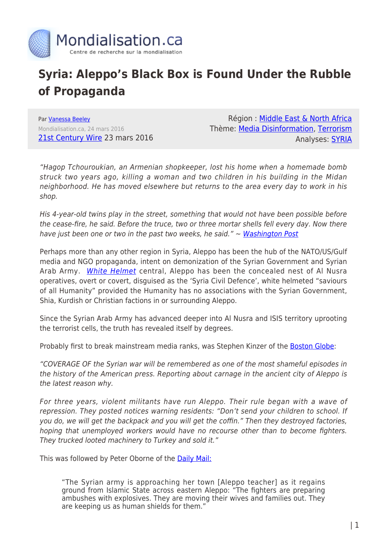

## **Syria: Aleppo's Black Box is Found Under the Rubble of Propaganda**

Par [Vanessa Beeley](https://www.mondialisation.ca/author/vanessa-beeley) Mondialisation.ca, 24 mars 2016 [21st Century Wire](http://21stcenturywire.com/2016/03/23/syria-aleppos-black-box-is-found-under-the-rubble-of-propaganda/) 23 mars 2016

Région : [Middle East & North Africa](https://www.mondialisation.ca/region/middle-east) Thème: [Media Disinformation](https://www.mondialisation.ca/theme/media-disinformation), [Terrorism](https://www.mondialisation.ca/theme/9-11-war-on-terrorism) Analyses: [SYRIA](https://www.mondialisation.ca/indepthreport/syria-nato-s-next-war)

"Hagop Tchouroukian, an Armenian shopkeeper, lost his home when a homemade bomb struck two years ago, killing a woman and two children in his building in the Midan neighborhood. He has moved elsewhere but returns to the area every day to work in his shop.

His 4-year-old twins play in the street, something that would not have been possible before the cease-fire, he said. Before the truce, two or three mortar shells fell every day. Now there have just been one or two in the past two weeks, he said."  $\sim$  [Washington Post](https://www.washingtonpost.com/world/middle_east/a-tale-of-two-cities-in-aleppo-rubble-on-one-side-packed-restaurants-on-the-other/2016/03/19/3758a0cc-e55e-11e5-a9ce-681055c7a05f_story.html)

Perhaps more than any other region in Syria, Aleppo has been the hub of the NATO/US/Gulf media and NGO propaganda, intent on demonization of the Syrian Government and Syrian Arab Army. [White](http://21stcenturywire.com/2015/10/23/syrias-white-helmets-war-by-way-of-deception-part-1/) [Helmet](http://21stcenturywire.com/2015/10/23/syrias-white-helmets-war-by-way-of-deception-part-1/) central, Aleppo has been the concealed nest of Al Nusra operatives, overt or covert, disguised as the 'Syria Civil Defence', white helmeted "saviours of all Humanity" provided the Humanity has no associations with the Syrian Government, Shia, Kurdish or Christian factions in or surrounding Aleppo.

Since the Syrian Arab Army has advanced deeper into Al Nusra and ISIS territory uprooting the terrorist cells, the truth has revealed itself by degrees.

Probably first to break mainstream media ranks, was Stephen Kinzer of the [Boston Globe](http://www.bostonglobe.com/opinion/2016/02/18/the-media-are-misleading-public-syria/8YB75otYirPzUCnlwaVtcK/story.html?event=event25?event=event25):

"COVERAGE OF the Syrian war will be remembered as one of the most shameful episodes in the history of the American press. Reporting about carnage in the ancient city of Aleppo is the latest reason why.

For three years, violent militants have run Aleppo. Their rule began with a wave of repression. They posted notices warning residents: "Don't send your children to school. If you do, we will get the backpack and you will get the coffin." Then they destroyed factories, hoping that unemployed workers would have no recourse other than to become fighters. They trucked looted machinery to Turkey and sold it."

This was followed by Peter Oborne of the [Daily Mail:](https://thewallwillfall.wordpress.com/2016/02/21/peter-oborne-reports-from-aleppo/)

"The Syrian army is approaching her town [Aleppo teacher] as it regains ground from Islamic State across eastern Aleppo: "The fighters are preparing ambushes with explosives. They are moving their wives and families out. They are keeping us as human shields for them."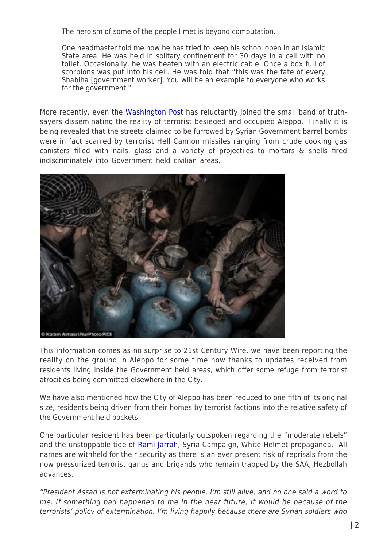The heroism of some of the people I met is beyond computation.

One headmaster told me how he has tried to keep his school open in an Islamic State area. He was held in solitary confinement for 30 days in a cell with no toilet. Occasionally, he was beaten with an electric cable. Once a box full of scorpions was put into his cell. He was told that "this was the fate of every Shabiha [government worker]. You will be an example to everyone who works for the government."

More recently, even the [Washington Post](https://www.washingtonpost.com/world/middle_east/a-tale-of-two-cities-in-aleppo-rubble-on-one-side-packed-restaurants-on-the-other/2016/03/19/3758a0cc-e55e-11e5-a9ce-681055c7a05f_story.html) has reluctantly joined the small band of truthsayers disseminating the reality of terrorist besieged and occupied Aleppo. Finally it is being revealed that the streets claimed to be furrowed by Syrian Government barrel bombs were in fact scarred by terrorist Hell Cannon missiles ranging from crude cooking gas canisters filled with nails, glass and a variety of projectiles to mortars & shells fired indiscriminately into Government held civilian areas.



This information comes as no surprise to 21st Century Wire, we have been reporting the reality on the ground in Aleppo for some time now thanks to updates received from residents living inside the Government held areas, which offer some refuge from terrorist atrocities being committed elsewhere in the City.

We have also mentioned how the City of Aleppo has been reduced to one fifth of its original size, residents being driven from their homes by terrorist factions into the relative safety of the Government held pockets.

One particular resident has been particularly outspoken regarding the "moderate rebels" and the unstoppable tide of [Rami Jarrah,](http://21stcenturywire.com/2016/01/13/aleppo-syrian-resident-speaks-out-against-rami-jarrah-activist-journalist-reports/) Syria Campaign, White Helmet propaganda. All names are withheld for their security as there is an ever present risk of reprisals from the now pressurized terrorist gangs and brigands who remain trapped by the SAA, Hezbollah advances.

"President Assad is not exterminating his people. I'm still alive, and no one said a word to me. If something bad happened to me in the near future, it would be because of the terrorists' policy of extermination. I'm living happily because there are Syrian soldiers who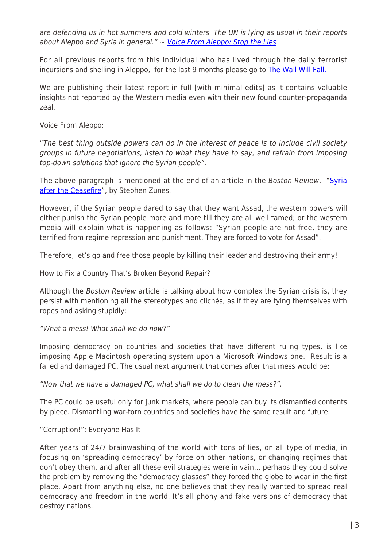are defending us in hot summers and cold winters. The UN is lying as usual in their reports about Aleppo and Syria in general."  $\sim$  [Voice From Aleppo: Stop the Lies](https://thewallwillfall.wordpress.com/2016/02/11/voice-from-aleppo-stop-the-lies/)

For all previous reports from this individual who has lived through the daily terrorist incursions and shelling in Aleppo, for the last 9 months please go to **[The Wall Will Fall.](https://thewallwillfall.wordpress.com/category/aleppo/)** 

We are publishing their latest report in full [with minimal edits] as it contains valuable insights not reported by the Western media even with their new found counter-propaganda zeal.

Voice From Aleppo:

"The best thing outside powers can do in the interest of peace is to include civil society groups in future negotiations, listen to what they have to say, and refrain from imposing top-down solutions that ignore the Syrian people".

The above paragraph is mentioned at the end of an article in the Boston Review, "[Syria](https://bostonreview.net/world/syria-ceasefire-stephen-zunes) [after the Ceasefire](https://bostonreview.net/world/syria-ceasefire-stephen-zunes)", by Stephen Zunes.

However, if the Syrian people dared to say that they want Assad, the western powers will either punish the Syrian people more and more till they are all well tamed; or the western media will explain what is happening as follows: "Syrian people are not free, they are terrified from regime repression and punishment. They are forced to vote for Assad".

Therefore, let's go and free those people by killing their leader and destroying their army!

How to Fix a Country That's Broken Beyond Repair?

Although the Boston Review article is talking about how complex the Syrian crisis is, they persist with mentioning all the stereotypes and clichés, as if they are tying themselves with ropes and asking stupidly:

## "What a mess! What shall we do now?"

Imposing democracy on countries and societies that have different ruling types, is like imposing Apple Macintosh operating system upon a Microsoft Windows one. Result is a failed and damaged PC. The usual next argument that comes after that mess would be:

"Now that we have a damaged PC, what shall we do to clean the mess?".

The PC could be useful only for junk markets, where people can buy its dismantled contents by piece. Dismantling war-torn countries and societies have the same result and future.

"Corruption!": Everyone Has It

After years of 24/7 brainwashing of the world with tons of lies, on all type of media, in focusing on 'spreading democracy' by force on other nations, or changing regimes that don't obey them, and after all these evil strategies were in vain… perhaps they could solve the problem by removing the "democracy glasses" they forced the globe to wear in the first place. Apart from anything else, no one believes that they really wanted to spread real democracy and freedom in the world. It's all phony and fake versions of democracy that destroy nations.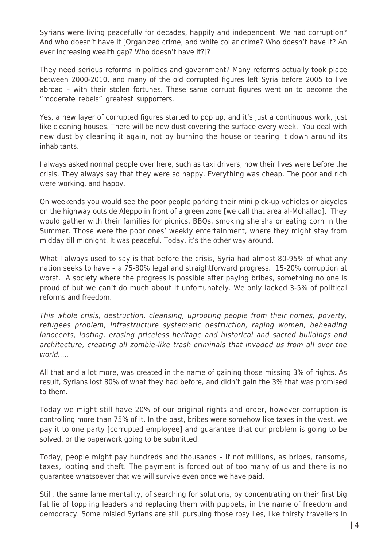Syrians were living peacefully for decades, happily and independent. We had corruption? And who doesn't have it [Organized crime, and white collar crime? Who doesn't have it? An ever increasing wealth gap? Who doesn't have it?]?

They need serious reforms in politics and government? Many reforms actually took place between 2000-2010, and many of the old corrupted figures left Syria before 2005 to live abroad – with their stolen fortunes. These same corrupt figures went on to become the "moderate rebels" greatest supporters.

Yes, a new layer of corrupted figures started to pop up, and it's just a continuous work, just like cleaning houses. There will be new dust covering the surface every week. You deal with new dust by cleaning it again, not by burning the house or tearing it down around its inhabitants.

I always asked normal people over here, such as taxi drivers, how their lives were before the crisis. They always say that they were so happy. Everything was cheap. The poor and rich were working, and happy.

On weekends you would see the poor people parking their mini pick-up vehicles or bicycles on the highway outside Aleppo in front of a green zone [we call that area al-Mohallaq]. They would gather with their families for picnics, BBQs, smoking sheisha or eating corn in the Summer. Those were the poor ones' weekly entertainment, where they might stay from midday till midnight. It was peaceful. Today, it's the other way around.

What I always used to say is that before the crisis, Syria had almost 80-95% of what any nation seeks to have – a 75-80% legal and straightforward progress. 15-20% corruption at worst. A society where the progress is possible after paying bribes, something no one is proud of but we can't do much about it unfortunately. We only lacked 3-5% of political reforms and freedom.

This whole crisis, destruction, cleansing, uprooting people from their homes, poverty, refugees problem, infrastructure systematic destruction, raping women, beheading innocents, looting, erasing priceless heritage and historical and sacred buildings and architecture, creating all zombie-like trash criminals that invaded us from all over the world…..

All that and a lot more, was created in the name of gaining those missing 3% of rights. As result, Syrians lost 80% of what they had before, and didn't gain the 3% that was promised to them.

Today we might still have 20% of our original rights and order, however corruption is controlling more than 75% of it. In the past, bribes were somehow like taxes in the west, we pay it to one party [corrupted employee] and guarantee that our problem is going to be solved, or the paperwork going to be submitted.

Today, people might pay hundreds and thousands – if not millions, as bribes, ransoms, taxes, looting and theft. The payment is forced out of too many of us and there is no guarantee whatsoever that we will survive even once we have paid.

Still, the same lame mentality, of searching for solutions, by concentrating on their first big fat lie of toppling leaders and replacing them with puppets, in the name of freedom and democracy. Some misled Syrians are still pursuing those rosy lies, like thirsty travellers in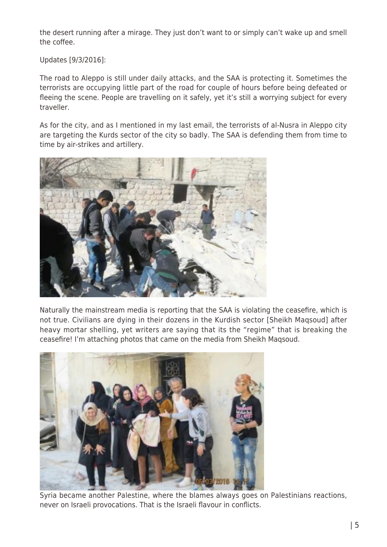the desert running after a mirage. They just don't want to or simply can't wake up and smell the coffee.

Updates [9/3/2016]:

The road to Aleppo is still under daily attacks, and the SAA is protecting it. Sometimes the terrorists are occupying little part of the road for couple of hours before being defeated or fleeing the scene. People are travelling on it safely, yet it's still a worrying subject for every traveller.

As for the city, and as I mentioned in my last email, the terrorists of al-Nusra in Aleppo city are targeting the Kurds sector of the city so badly. The SAA is defending them from time to time by air-strikes and artillery.



Naturally the mainstream media is reporting that the SAA is violating the ceasefire, which is not true. Civilians are dying in their dozens in the Kurdish sector [Sheikh Maqsoud] after heavy mortar shelling, yet writers are saying that its the "regime" that is breaking the ceasefire! I'm attaching photos that came on the media from Sheikh Maqsoud.



Syria became another Palestine, where the blames always goes on Palestinians reactions, never on Israeli provocations. That is the Israeli flavour in conflicts.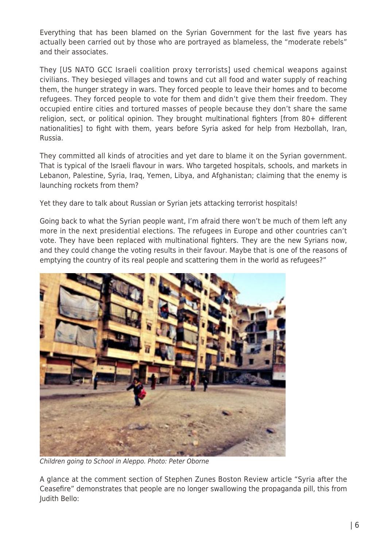Everything that has been blamed on the Syrian Government for the last five years has actually been carried out by those who are portrayed as blameless, the "moderate rebels" and their associates.

They [US NATO GCC Israeli coalition proxy terrorists] used chemical weapons against civilians. They besieged villages and towns and cut all food and water supply of reaching them, the hunger strategy in wars. They forced people to leave their homes and to become refugees. They forced people to vote for them and didn't give them their freedom. They occupied entire cities and tortured masses of people because they don't share the same religion, sect, or political opinion. They brought multinational fighters [from 80+ different nationalities] to fight with them, years before Syria asked for help from Hezbollah, Iran, Russia.

They committed all kinds of atrocities and yet dare to blame it on the Syrian government. That is typical of the Israeli flavour in wars. Who targeted hospitals, schools, and markets in Lebanon, Palestine, Syria, Iraq, Yemen, Libya, and Afghanistan; claiming that the enemy is launching rockets from them?

Yet they dare to talk about Russian or Syrian jets attacking terrorist hospitals!

Going back to what the Syrian people want, I'm afraid there won't be much of them left any more in the next presidential elections. The refugees in Europe and other countries can't vote. They have been replaced with multinational fighters. They are the new Syrians now, and they could change the voting results in their favour. Maybe that is one of the reasons of emptying the country of its real people and scattering them in the world as refugees?"



Children going to School in Aleppo. Photo: Peter Oborne

A glance at the comment section of Stephen Zunes Boston Review article "Syria after the Ceasefire" demonstrates that people are no longer swallowing the propaganda pill, this from Judith Bello: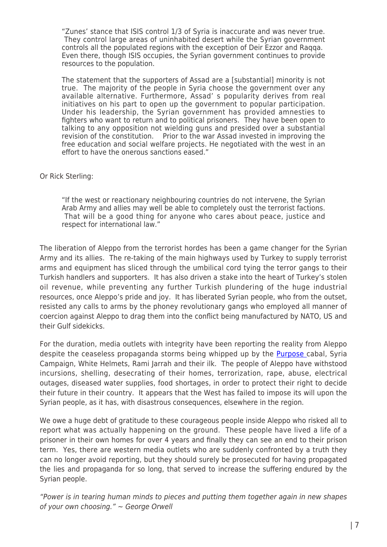"Zunes' stance that ISIS control 1/3 of Syria is inaccurate and was never true. They control large areas of uninhabited desert while the Syrian government controls all the populated regions with the exception of Deir Ezzor and Raqqa. Even there, though ISIS occupies, the Syrian government continues to provide resources to the population.

The statement that the supporters of Assad are a [substantial] minority is not true. The majority of the people in Syria choose the government over any available alternative. Furthermore, Assad' s popularity derives from real initiatives on his part to open up the government to popular participation. Under his leadership, the Syrian government has provided amnesties to fighters who want to return and to political prisoners. They have been open to talking to any opposition not wielding guns and presided over a substantial revision of the constitution. Prior to the war Assad invested in improving the free education and social welfare projects. He negotiated with the west in an effort to have the onerous sanctions eased."

## Or Rick Sterling:

"If the west or reactionary neighbouring countries do not intervene, the Syrian Arab Army and allies may well be able to completely oust the terrorist factions. That will be a good thing for anyone who cares about peace, justice and respect for international law."

The liberation of Aleppo from the terrorist hordes has been a game changer for the Syrian Army and its allies. The re-taking of the main highways used by Turkey to supply terrorist arms and equipment has sliced through the umbilical cord tying the terror gangs to their Turkish handlers and supporters. It has also driven a stake into the heart of Turkey's stolen oil revenue, while preventing any further Turkish plundering of the huge industrial resources, once Aleppo's pride and joy. It has liberated Syrian people, who from the outset, resisted any calls to arms by the phoney revolutionary gangs who employed all manner of coercion against Aleppo to drag them into the conflict being manufactured by NATO, US and their Gulf sidekicks.

For the duration, media outlets with integrity have been reporting the reality from Aleppo despite the ceaseless propaganda storms being whipped up by the [Purpose c](http://21stcenturywire.com/2015/10/23/syrias-white-helmets-war-by-way-of-deception-part-1/)abal, Syria Campaign, White Helmets, Rami Jarrah and their ilk. The people of Aleppo have withstood incursions, shelling, desecrating of their homes, terrorization, rape, abuse, electrical outages, diseased water supplies, food shortages, in order to protect their right to decide their future in their country. It appears that the West has failed to impose its will upon the Syrian people, as it has, with disastrous consequences, elsewhere in the region.

We owe a huge debt of gratitude to these courageous people inside Aleppo who risked all to report what was actually happening on the ground. These people have lived a life of a prisoner in their own homes for over 4 years and finally they can see an end to their prison term. Yes, there are western media outlets who are suddenly confronted by a truth they can no longer avoid reporting, but they should surely be prosecuted for having propagated the lies and propaganda for so long, that served to increase the suffering endured by the Syrian people.

"Power is in tearing human minds to pieces and putting them together again in new shapes of your own choosing." ~ George Orwell